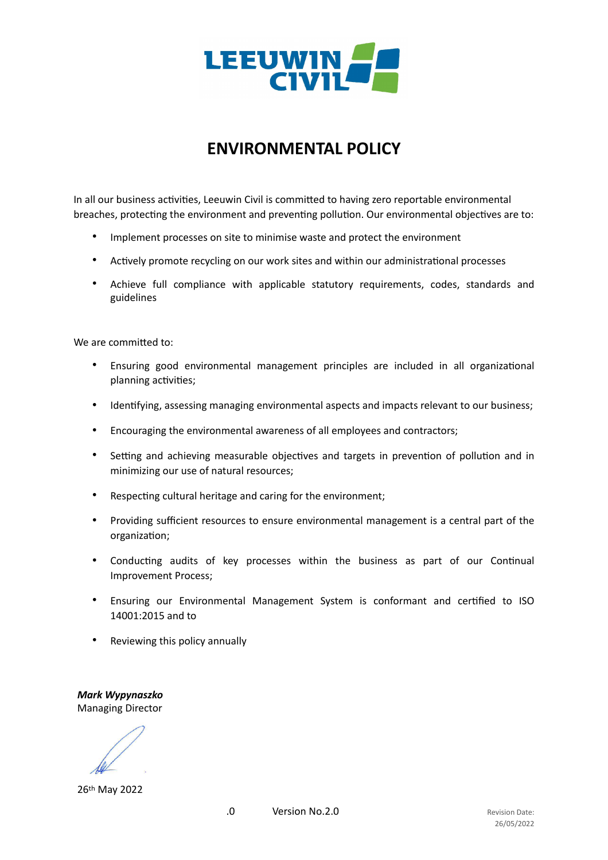

## **ENVIRONMENTAL POLICY**

In all our business activities, Leeuwin Civil is committed to having zero reportable environmental breaches, protecting the environment and preventing pollution. Our environmental objectives are to:

- Implement processes on site to minimise waste and protect the environment
- Actively promote recycling on our work sites and within our administrational processes
- Achieve full compliance with applicable statutory requirements, codes, standards and guidelines

We are committed to:

- Ensuring good environmental management principles are included in all organizational planning activities;
- Identifying, assessing managing environmental aspects and impacts relevant to our business;
- Encouraging the environmental awareness of all employees and contractors;
- Setting and achieving measurable objectives and targets in prevention of pollution and in minimizing our use of natural resources;
- Respecting cultural heritage and caring for the environment;
- Providing sufficient resources to ensure environmental management is a central part of the organization;
- Conducting audits of key processes within the business as part of our Continual Improvement Process;
- Ensuring our Environmental Management System is conformant and certified to ISO 14001:2015 and to
- Reviewing this policy annually

*Mark Wypynaszko* Managing Director

26th May 2022